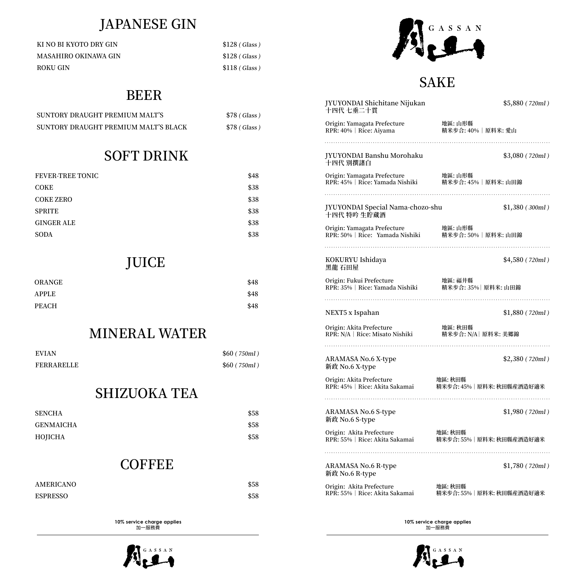# JAPANESE GIN

| KI NO BI KYOTO DRY GIN      | $$128$ (Glass) |
|-----------------------------|----------------|
| <b>MASAHIRO OKINAWA GIN</b> | $$128$ (Glass) |
| ROKU GIN                    | $$118$ (Glass) |

## BEER

| SUNTORY DRAUGHT PREMIUM MALT'S       | \$78 (Glass) |
|--------------------------------------|--------------|
| SUNTORY DRAUGHT PREMIUM MALT'S BLACK | \$78 (Glass) |

## SOFT DRINK

| <b>FEVER-TREE TONIC</b> | \$48 |
|-------------------------|------|
| <b>COKE</b>             | \$38 |
| <b>COKE ZERO</b>        | \$38 |
| <b>SPRITE</b>           | \$38 |
| <b>GINGER ALE</b>       | \$38 |
| <b>SODA</b>             | \$38 |

## JUICE

| ORANGE       | \$48 |
|--------------|------|
| <b>APPLE</b> | \$48 |
| <b>PEACH</b> | \$48 |

## MINERAL WATER

| <b>EVIAN</b>      | \$60 (750ml) |
|-------------------|--------------|
| <b>FERRARELLE</b> | \$60 (750ml) |

## SHIZUOKA TEA

| <b>SENCHA</b>    | \$58 |
|------------------|------|
| <b>GENMAICHA</b> | \$58 |
| HOJICHA          | \$58 |

### **COFFEE**

| AMERICANO       | \$58 |
|-----------------|------|
| <b>ESPRESSO</b> | \$58 |

**10% service charge applies**  加一服務費





#### SAKE

| JYUYONDAI Shichitane Nijukan<br>十四代 七垂二十貫                      | \$5,880 (720ml)                      |
|----------------------------------------------------------------|--------------------------------------|
| Origin: Yamagata Prefecture                                    | 地區: 山形縣                              |
| RPR: 40%   Rice: Aiyama                                        | 精米步合: 40%   原料米: 愛山                  |
| JYUYONDAI Banshu Morohaku<br>十四代 別撰諸白                          | \$3,080 (720ml)                      |
| Origin: Yamagata Prefecture                                    | 地區: 山形縣                              |
| RPR: 45%   Rice: Yamada Nishiki                                | 精米步合: 45%   原料米: 山田錦                 |
| JYUYONDAI Special Nama-chozo-shu<br>十四代 特吟 生貯蔵酒                | \$1,380 (300ml)                      |
| Origin: Yamagata Prefecture<br>RPR: 50%   Rice: Yamada Nishiki | 地區:山形縣                               |
|                                                                | 精米步合: 50%   原料米: 山田錦                 |
| KOKURYU Ishidaya<br>黑龍 石田屋                                     | \$4,580 (720ml)                      |
| Origin: Fukui Prefecture                                       | 地區:福井縣                               |
| RPR: 35%   Rice: Yamada Nishiki                                | 精米步合: 35% 原料米: 山田錦                   |
| NEXT5 x Ispahan                                                | \$1,880 (720ml)                      |
| Origin: Akita Prefecture                                       | 地區: 秋田縣                              |
| RPR: N/A   Rice: Misato Nishiki                                | 精米步合: N/A   原料米: 美郷錦                 |
| ARAMASA No.6 X-type<br>新政 No.6 X-type                          | \$2,380 (720ml)                      |
| Origin: Akita Prefecture                                       | 地區:秋田縣                               |
| RPR: 45%   Rice: Akita Sakamai                                 | 精米步合: 45% 原料米: 秋田縣産酒造好適米             |
| <b>ARAMASA No.6 S-type</b><br>新政 No.6 S-type                   | \$1,980 (720ml)                      |
| Origin: Akita Prefecture<br>RPR: 55%   Rice: Akita Sakamai     | 地區:秋田縣<br>精米步合: 55%   原料米: 秋田縣産酒造好適米 |
| ARAMASA No.6 R-type                                            |                                      |
| 新政 No.6 R-type                                                 | \$1,780 (720ml)                      |
| Origin: Akita Prefecture                                       | 地區: 秋田縣                              |
| RPR: 55%   Rice: Akita Sakamai                                 | 精米步合: 55% 原料米: 秋田縣産酒造好適米             |

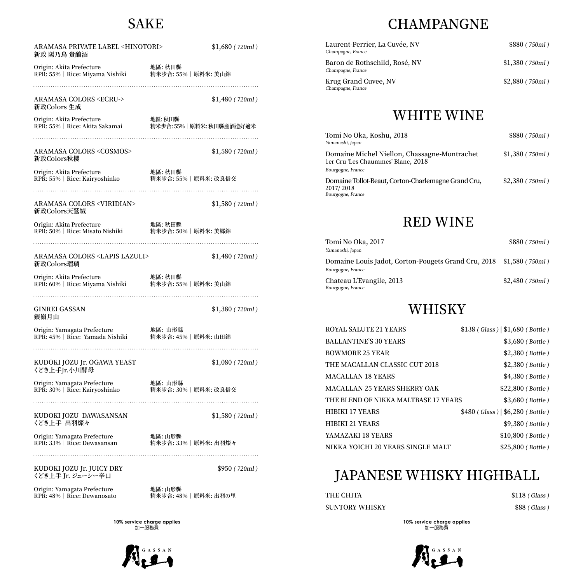## SAKE

| <b>ARAMASA PRIVATE LABEL <hinotori></hinotori></b><br>新政 陽乃鳥 貴釀酒                                    | \$1,680 (720ml)                           |
|-----------------------------------------------------------------------------------------------------|-------------------------------------------|
| Origin: Akita Prefecture         地區: 秋田縣<br>RPR: 55%   Rice: Miyama Nishiki    精米步合: 55%   原料米: 美山錦 |                                           |
| ARAMASA COLORS <ecru-><br/>新政Colors 生成</ecru->                                                      | \$1,480 (720ml)                           |
|                                                                                                     |                                           |
| <b>ARAMASA COLORS <cosmos></cosmos></b><br>新政Colors秋櫻                                               | \$1,580 (720ml)                           |
| Origin: Akita Prefecture         地區: 秋田縣<br>RPR: 55%   Rice: Kairyoshinko     精米步合: 55%   原料米: 改良信交 |                                           |
| ARAMASA COLORS <viridian><br/>新政Colors天鷲絨</viridian>                                                | \$1,580 (720ml)                           |
|                                                                                                     |                                           |
|                                                                                                     |                                           |
| ARAMASA COLORS <lapis lazuli=""><br/>新政Colors瑠璃</lapis>                                             | \$1,480 (720ml)                           |
|                                                                                                     | 地區: 秋田縣                                   |
| GINREI GASSAN<br>銀嶺月山                                                                               | \$1,380 (720ml)                           |
| Origin: Yamagata Prefecture      地區: 山形縣<br>RPR: 45%   Rice: Yamada Nishiki    精米步合: 45%   原料米: 山田錦 |                                           |
| KUDOKI JOZU Jr. OGAWA YEAST<br>くどき上手Jr.小川酵母                                                         | \$1,080(720ml)                            |
| Origin: Yamagata Prefecture<br>RPR: 30%   Rice: Kairyoshinko                                        | 地區: 山形縣<br>地罒. wル灬<br>精米步合: 30%│原料米: 改良信交 |
| KUDOKI JOZU DAWASANSAN<br>くどき上手 出羽燦々                                                                | \$1,580 (720ml)                           |
| Origin: Yamagata Prefecture<br>RPR: 33%   Rice: Dewasansan                                          | 地區: 山形縣<br>精米步合: 33% 原料米: 出羽燦々            |
| KUDOKI JOZU Jr. JUICY DRY<br>くどき上手 Jr. ジューシー辛口                                                      | \$950 (720ml)                             |
| Origin: Yamagata Prefecture<br>RPR: 48%   Rice: Dewanosato                                          | 地區:山形縣<br>精米步合: 48% 原料米: 出羽の里             |

**10% service charge applies**  加一服務費



# **CHAMPANGNE**

| Laurent-Perrier, La Cuvée, NV<br>Champagne, France | \$880 (750ml)    |
|----------------------------------------------------|------------------|
| Baron de Rothschild, Rosé, NV<br>Champagne, France | \$1,380 (750ml)  |
| Krug Grand Cuvee, NV<br>Champagne, France          | $$2,880$ (750ml) |

## WHITE WINE

| Tomi No Oka, Koshu, 2018<br>Yamanashi, Japan                                                            | \$880 (750ml)   |
|---------------------------------------------------------------------------------------------------------|-----------------|
| Domaine Michel Niellon, Chassagne-Montrachet<br>1er Cru 'Les Chaummes' Blanc, 2018<br>Bourgogne, France | \$1,380 (750ml) |
| Domaine Tollot-Beaut, Corton-Charlemagne Grand Cru,<br>2017/2018<br>Bourgogne, France                   | \$2,380 (750ml) |

## RED WINE

| Tomi No Oka, 2017                                                                        | \$880 (750ml)    |
|------------------------------------------------------------------------------------------|------------------|
| Yamanashi, Japan                                                                         |                  |
| Domaine Louis Jadot, Corton-Pougets Grand Cru, 2018 \$1,580 (750ml)<br>Bourgogne, France |                  |
| Chateau L'Evangile, 2013<br>Bourgogne, France                                            | $$2,480$ (750ml) |

## **WHISKY**

| <b>ROYAL SALUTE 21 YEARS</b>         | $$138 (Glass) \,   \, $1,680 (Bottle)$ |
|--------------------------------------|----------------------------------------|
| <b>BALLANTINE'S 30 YEARS</b>         | \$3,680 (Bottle)                       |
| <b>BOWMORE 25 YEAR</b>               | $$2,380$ (Bottle)                      |
| THE MACALLAN CLASSIC CUT 2018        | $$2,380$ (Bottle)                      |
| <b>MACALLAN 18 YEARS</b>             | \$4,380 (Bottle)                       |
| <b>MACALLAN 25 YEARS SHERRY OAK</b>  | $$22,800$ (Bottle)                     |
| THE BLEND OF NIKKA MALTBASE 17 YEARS | \$3,680 (Bottle)                       |
| <b>HIBIKI 17 YEARS</b>               | $$480$ (Glass)   \$6,280 (Bottle)      |
| <b>HIBIKI 21 YEARS</b>               | \$9,380 (Bottle)                       |
| YAMAZAKI 18 YEARS                    | $$10,800$ (Bottle)                     |
| NIKKA YOICHI 20 YEARS SINGLE MALT    | \$25,800 (Bottle)                      |

# JAPANESE WHISKY HIGHBALL

| THE CHITA      | $$118$ (Glass) |
|----------------|----------------|
| SUNTORY WHISKY | \$88(Glass)    |

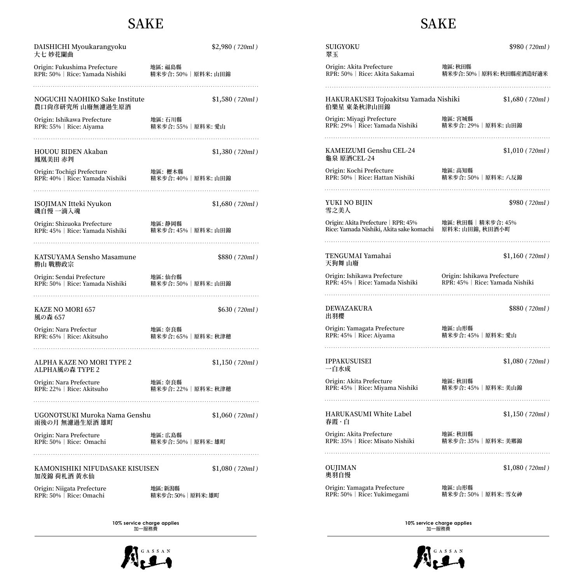#### SAKE

#### DAISHICHI Myoukarangyoku \$2,980 ( 720ml ) SUIGYOKU \$980 ( 720ml ) 大七 妙花闌曲 翠玉 Origin: Akita Prefecture 地區: 秋田縣 地區: 福島縣 Origin: Fukushima Prefecture RPR: 50% | Rice: Akita Sakamai 精米步合: 50% | 原料米: 秋田縣産酒造好適米 RPR: 50% | Rice: Yamada Nishiki 精米步合: 50% | 原料米: 山田錦 NOGUCHI NAOHIKO Sake Institute \$1,580 (720ml) HAKURAKUSEI Tojoakitsu Yamada Nishiki \$1,680 ( 720ml ) 農口尚彦研究所 山廢無濾過生原酒 伯樂星 東条秋津山田錦 Origin: Miyagi Prefecture 地區: 宮城縣 Origin: Ishikawa Prefecture 地區: 石川縣 RPR: 29% | Rice: Yamada Nishiki RPR: 55% | Rice: Aiyama 精米步合: 55% | 原料米: 愛山 HOUOU BIDEN Akaban \$1,380 ( 720ml ) KAMEIZUMI Genshu CEL-24 \$1,010 ( 720ml ) 龜泉 原酒CEL-24 鳳凰美田 赤判 Origin: Kochi Prefecture 地區: 高知縣 Origin: Tochigi Prefecture 地區: 櫪木縣 RPR: 50% | Rice: Hattan Nishiki RPR: 40% | Rice: Yamada Nishiki 精米步合: 40% | 原料米: 山田錦 YUKI NO BIJIN \$980 ( 720ml ) ISOJIMAN Itteki Nyukon \$1,680 ( 720ml ) 磯自慢 一滴入魂 雪之美人 Origin: Akita Prefecture | RPR: 45% Origin: Shizuoka Prefecture 地區: 静岡縣 RPR: 45% | Rice: Yamada Nishiki 精米步合: 45% | 原料米: 山田錦 Rice: Yamada Nishiki, Akita sake komachi 原料米: 山田錦, 秋田酒小町 TENGUMAI Yamahai \$1,160 (720ml) KATSUYAMA Sensho Masamune  $$880 ( 720 ml )$ 勝山 戰勝政宗 天狗舞 山廢 Origin: Ishikawa Prefecture Origin: Sendai Prefecture 地區: 仙台縣 RPR: 45% | Rice: Yamada Nishiki RPR: 50% | Rice: Yamada Nishiki 精米步合: 50% | 原料米: 山田錦 DEWAZAKURA \$880 (720ml) KAZE NO MORI 657 \$630 ( 720ml ) 風の森 657 出羽櫻 Origin: Yamagata Prefecture 地區: 山形縣 Origin: Nara Prefectur 地區: 奈良縣 RPR: 45% | Rice: Aiyama RPR: 65% | Rice: Akitsuho 精米步合: 65% | 原料米: 秋津穂 IPPAKUSUISEI \$1,080 ( 720ml ) ALPHA KAZE NO MORI TYPE 2 \$1,150 (720ml) ALPHA風の森 TYPE 2 一白水成 Origin: Akita Prefecture 地區: 秋田縣 Origin: Nara Prefecture 地區: 奈良縣 RPR: 45% | Rice: Miyama Nishiki RPR: 22% | Rice: Akitsuho 精米步合: 22% | 原料米: 秋津穂 HARUKASUMI White Label \$1,150 (720ml) UGONOTSUKI Muroka Nama Genshu \$1,060 ( 720ml ) 春霞 · 白 雨後の月 無濾過生原酒 雄町 Origin: Nara Prefecture 地區: 広島縣 Origin: Akita Prefecture 地區: 秋田縣 RPR: 50% | Rice: Omachi 精米步合: 50% | 原料米: 雄町 RPR: 35% | Rice: Misato Nishiki OUJIMAN \$1,080 ( 720ml ) KAMONISHIKI NIFUDASAKE KISUISEN \$1,080 (720ml) 奧羽自慢 加茂錦 荷札酒 黃水仙 Origin: Yamagata Prefecture 地區: 山形縣 Origin: Niigata Prefecture 地區: 新潟縣 RPR: 50% | Rice: Yukimegami 精米步合: 50% | 原料米: 雪女神 RPR: 50% | Rice: Omachi 精米步合: 50% | 原料米: 雄町

**10% service charge applies**  加一服務費

# SAKE

精米步合: 29% | 原料米: 山田錦 精米步合: 50% | 原料米: 八反錦 地區: 秋田縣 | 精米步合: 45% Origin: Ishikawa Prefecture RPR: 45% | Rice: Yamada Nishiki 精米步合: 45% | 原料米: 愛山 精米步合: 45% | 原料米: 美山錦 精米步合: 35% | 原料米: 美鄉錦